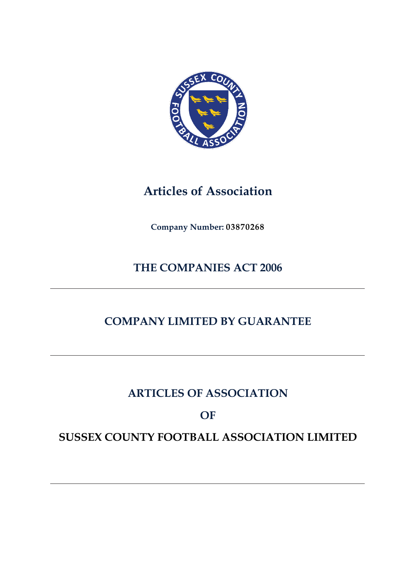

# **Articles of Association**

**Company Number: 03870268**

# **THE COMPANIES ACT 2006**

# **COMPANY LIMITED BY GUARANTEE**

# **ARTICLES OF ASSOCIATION**

# **OF**

# **SUSSEX COUNTY FOOTBALL ASSOCIATION LIMITED**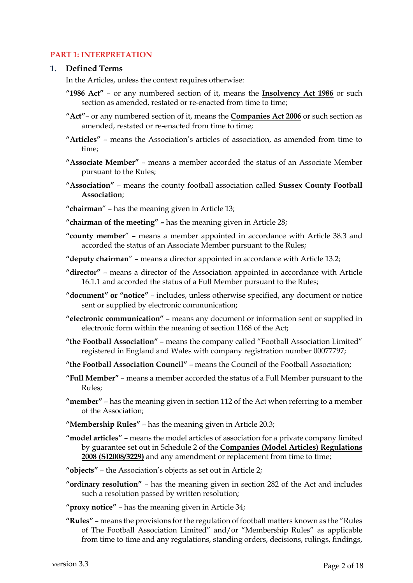# **PART 1: INTERPRETATION**

#### **1. Defined Terms**

In the Articles, unless the context requires otherwise:

**"1986 Act"** – or any numbered section of it, means the **Insolvency Act 1986** or such section as amended, restated or re-enacted from time to time;

**"Act"**– or any numbered section of it, means the **Companies Act 2006** or such section as amended, restated or re-enacted from time to time;

- **"Articles"**  means the Association's articles of association, as amended from time to time;
- **"Associate Member"**  means a member accorded the status of an Associate Member pursuant to the Rules;
- **"Association"**  means the county football association called **Sussex County Football Association**;
- **"chairman**" has the meaning given in Article 13;
- **"chairman of the meeting" –** has the meaning given in Article 28;
- **"county member**" means a member appointed in accordance with Article 38.3 and accorded the status of an Associate Member pursuant to the Rules;
- **"deputy chairman**" means a director appointed in accordance with Article 13.2;
- **"director"**  means a director of the Association appointed in accordance with Article 16.1.1 and accorded the status of a Full Member pursuant to the Rules;
- **"document" or "notice"**  includes, unless otherwise specified, any document or notice sent or supplied by electronic communication;
- **"electronic communication"**  means any document or information sent or supplied in electronic form within the meaning of section 1168 of the Act;
- **"the Football Association"**  means the company called "Football Association Limited" registered in England and Wales with company registration number 00077797;
- **"the Football Association Council"**  means the Council of the Football Association;
- **"Full Member"**  means a member accorded the status of a Full Member pursuant to the Rules;
- **"member"**  has the meaning given in section 112 of the Act when referring to a member of the Association;
- **"Membership Rules"**  has the meaning given in Article 20.3;
- **"model articles"**  means the model articles of association for a private company limited by guarantee set out in Schedule 2 of the **Companies (Model Articles) Regulations**  2008 (SI2008/3229) and any amendment or replacement from time to time;
- **"objects"**  the Association's objects as set out in Article 2;
- **"ordinary resolution"**  has the meaning given in section 282 of the Act and includes such a resolution passed by written resolution;
- **"proxy notice"**  has the meaning given in Article 34;
- **"Rules"**  means the provisions for the regulation of football matters known as the "Rules of The Football Association Limited" and/or "Membership Rules" as applicable from time to time and any regulations, standing orders, decisions, rulings, findings,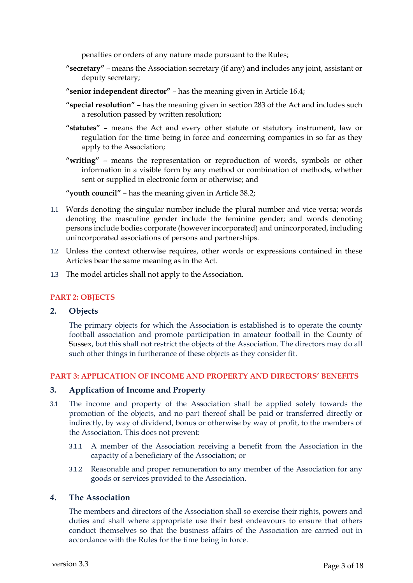penalties or orders of any nature made pursuant to the Rules;

- **"secretary"**  means the Association secretary (if any) and includes any joint, assistant or deputy secretary;
- **"senior independent director"**  has the meaning given in Article 16.4;
- **"special resolution"**  has the meaning given in section 283 of the Act and includes such a resolution passed by written resolution;
- **"statutes"**  means the Act and every other statute or statutory instrument, law or regulation for the time being in force and concerning companies in so far as they apply to the Association;

**"writing"** – means the representation or reproduction of words, symbols or other information in a visible form by any method or combination of methods, whether sent or supplied in electronic form or otherwise; and

**"youth council"** – has the meaning given in Article 38.2;

- 1.1 Words denoting the singular number include the plural number and vice versa; words denoting the masculine gender include the feminine gender; and words denoting persons include bodies corporate (however incorporated) and unincorporated, including unincorporated associations of persons and partnerships.
- 1.2 Unless the context otherwise requires, other words or expressions contained in these Articles bear the same meaning as in the Act.
- 1.3 The model articles shall not apply to the Association.

#### **PART 2: OBJECTS**

#### **2. Objects**

The primary objects for which the Association is established is to operate the county football association and promote participation in amateur football in the County of Sussex, but this shall not restrict the objects of the Association. The directors may do all such other things in furtherance of these objects as they consider fit.

### **PART 3: APPLICATION OF INCOME AND PROPERTY AND DIRECTORS' BENEFITS**

### **3. Application of Income and Property**

- 3.1 The income and property of the Association shall be applied solely towards the promotion of the objects, and no part thereof shall be paid or transferred directly or indirectly, by way of dividend, bonus or otherwise by way of profit, to the members of the Association. This does not prevent:
	- 3.1.1 A member of the Association receiving a benefit from the Association in the capacity of a beneficiary of the Association; or
	- 3.1.2 Reasonable and proper remuneration to any member of the Association for any goods or services provided to the Association.

#### **4. The Association**

The members and directors of the Association shall so exercise their rights, powers and duties and shall where appropriate use their best endeavours to ensure that others conduct themselves so that the business affairs of the Association are carried out in accordance with the Rules for the time being in force.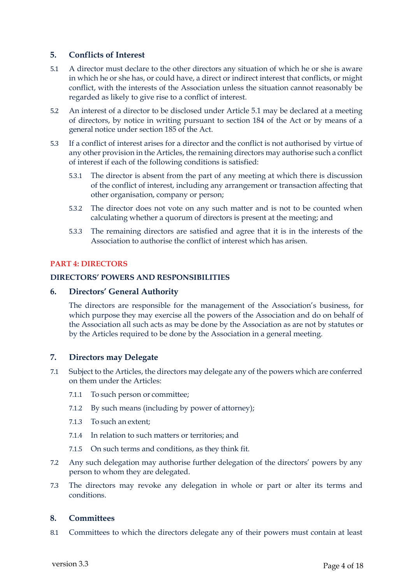# **5. Conflicts of Interest**

- 5.1 A director must declare to the other directors any situation of which he or she is aware in which he or she has, or could have, a direct or indirect interest that conflicts, or might conflict, with the interests of the Association unless the situation cannot reasonably be regarded as likely to give rise to a conflict of interest.
- 5.2 An interest of a director to be disclosed under Article 5.1 may be declared at a meeting of directors, by notice in writing pursuant to section 184 of the Act or by means of a general notice under section 185 of the Act.
- 5.3 If a conflict of interest arises for a director and the conflict is not authorised by virtue of any other provision in the Articles, the remaining directors may authorise such a conflict of interest if each of the following conditions is satisfied:
	- 5.3.1 The director is absent from the part of any meeting at which there is discussion of the conflict of interest, including any arrangement or transaction affecting that other organisation, company or person;
	- 5.3.2 The director does not vote on any such matter and is not to be counted when calculating whether a quorum of directors is present at the meeting; and
	- 5.3.3 The remaining directors are satisfied and agree that it is in the interests of the Association to authorise the conflict of interest which has arisen.

## **PART 4: DIRECTORS**

## **DIRECTORS' POWERS AND RESPONSIBILITIES**

#### **6. Directors' General Authority**

The directors are responsible for the management of the Association's business, for which purpose they may exercise all the powers of the Association and do on behalf of the Association all such acts as may be done by the Association as are not by statutes or by the Articles required to be done by the Association in a general meeting.

## **7. Directors may Delegate**

- 7.1 Subject to the Articles, the directors may delegate any of the powers which are conferred on them under the Articles:
	- 7.1.1 To such person or committee;
	- 7.1.2 By such means (including by power of attorney);
	- 7.1.3 To such an extent;
	- 7.1.4 In relation to such matters or territories; and
	- 7.1.5 On such terms and conditions, as they think fit.
- 7.2 Any such delegation may authorise further delegation of the directors' powers by any person to whom they are delegated.
- 7.3 The directors may revoke any delegation in whole or part or alter its terms and conditions.

## **8. Committees**

8.1 Committees to which the directors delegate any of their powers must contain at least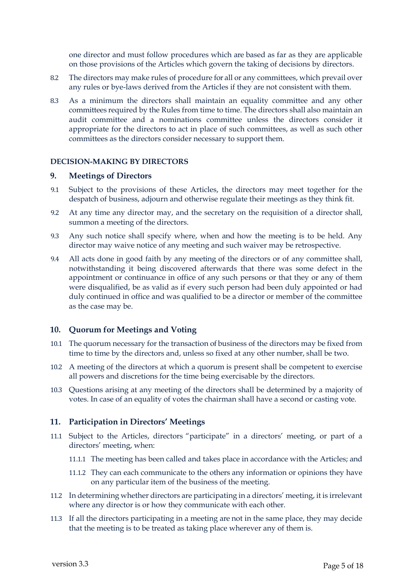one director and must follow procedures which are based as far as they are applicable on those provisions of the Articles which govern the taking of decisions by directors.

- 8.2 The directors may make rules of procedure for all or any committees, which prevail over any rules or bye-laws derived from the Articles if they are not consistent with them.
- 8.3 As a minimum the directors shall maintain an equality committee and any other committees required by the Rules from time to time. The directors shall also maintain an audit committee and a nominations committee unless the directors consider it appropriate for the directors to act in place of such committees, as well as such other committees as the directors consider necessary to support them.

#### **DECISION-MAKING BY DIRECTORS**

#### **9. Meetings of Directors**

- 9.1 Subject to the provisions of these Articles, the directors may meet together for the despatch of business, adjourn and otherwise regulate their meetings as they think fit.
- 9.2 At any time any director may, and the secretary on the requisition of a director shall, summon a meeting of the directors.
- 9.3 Any such notice shall specify where, when and how the meeting is to be held. Any director may waive notice of any meeting and such waiver may be retrospective.
- 9.4 All acts done in good faith by any meeting of the directors or of any committee shall, notwithstanding it being discovered afterwards that there was some defect in the appointment or continuance in office of any such persons or that they or any of them were disqualified, be as valid as if every such person had been duly appointed or had duly continued in office and was qualified to be a director or member of the committee as the case may be.

## **10. Quorum for Meetings and Voting**

- 10.1 The quorum necessary for the transaction of business of the directors may be fixed from time to time by the directors and, unless so fixed at any other number, shall be two.
- 10.2 A meeting of the directors at which a quorum is present shall be competent to exercise all powers and discretions for the time being exercisable by the directors.
- 10.3 Questions arising at any meeting of the directors shall be determined by a majority of votes. In case of an equality of votes the chairman shall have a second or casting vote.

## **11. Participation in Directors' Meetings**

- 11.1 Subject to the Articles, directors "participate" in a directors' meeting, or part of a directors' meeting, when:
	- 11.1.1 The meeting has been called and takes place in accordance with the Articles; and
	- 11.1.2 They can each communicate to the others any information or opinions they have on any particular item of the business of the meeting.
- 11.2 In determining whether directors are participating in a directors' meeting, it is irrelevant where any director is or how they communicate with each other.
- 11.3 If all the directors participating in a meeting are not in the same place, they may decide that the meeting is to be treated as taking place wherever any of them is.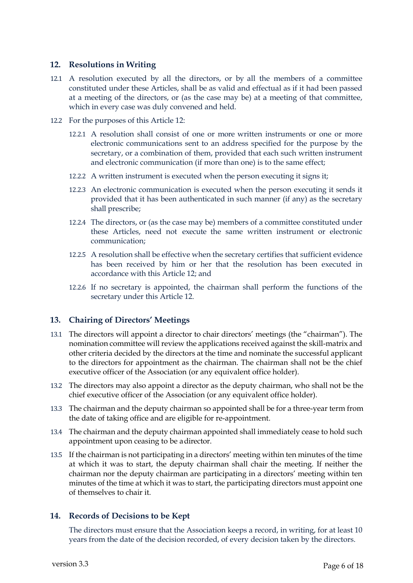# **12. Resolutions in Writing**

- 12.1 A resolution executed by all the directors, or by all the members of a committee constituted under these Articles, shall be as valid and effectual as if it had been passed at a meeting of the directors, or (as the case may be) at a meeting of that committee, which in every case was duly convened and held.
- 12.2 For the purposes of this Article 12:
	- 12.2.1 A resolution shall consist of one or more written instruments or one or more electronic communications sent to an address specified for the purpose by the secretary, or a combination of them, provided that each such written instrument and electronic communication (if more than one) is to the same effect;
	- 12.2.2 A written instrument is executed when the person executing it signs it;
	- 12.2.3 An electronic communication is executed when the person executing it sends it provided that it has been authenticated in such manner (if any) as the secretary shall prescribe;
	- 12.2.4 The directors, or (as the case may be) members of a committee constituted under these Articles, need not execute the same written instrument or electronic communication;
	- 12.2.5 A resolution shall be effective when the secretary certifies that sufficient evidence has been received by him or her that the resolution has been executed in accordance with this Article 12; and
	- 12.2.6 If no secretary is appointed, the chairman shall perform the functions of the secretary under this Article 12.

# **13. Chairing of Directors' Meetings**

- 13.1 The directors will appoint a director to chair directors' meetings (the "chairman"). The nomination committee will review the applications received against the skill-matrix and other criteria decided by the directors at the time and nominate the successful applicant to the directors for appointment as the chairman. The chairman shall not be the chief executive officer of the Association (or any equivalent office holder).
- 13.2 The directors may also appoint a director as the deputy chairman, who shall not be the chief executive officer of the Association (or any equivalent office holder).
- 13.3 The chairman and the deputy chairman so appointed shall be for a three-year term from the date of taking office and are eligible for re-appointment.
- 13.4 The chairman and the deputy chairman appointed shall immediately cease to hold such appointment upon ceasing to be a director.
- 13.5 If the chairman is not participating in a directors' meeting within ten minutes of the time at which it was to start, the deputy chairman shall chair the meeting. If neither the chairman nor the deputy chairman are participating in a directors' meeting within ten minutes of the time at which it was to start, the participating directors must appoint one of themselves to chair it.

# **14. Records of Decisions to be Kept**

The directors must ensure that the Association keeps a record, in writing, for at least 10 years from the date of the decision recorded, of every decision taken by the directors.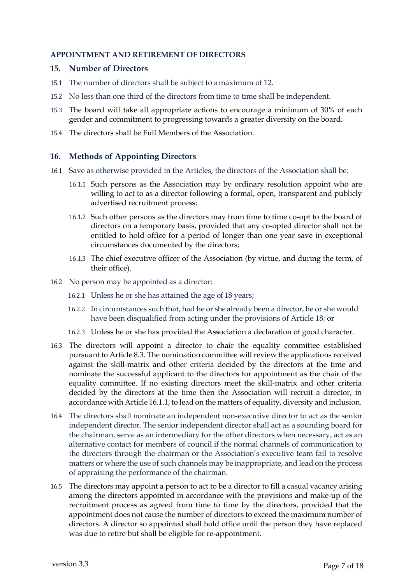### **APPOINTMENT AND RETIREMENT OF DIRECTORS**

#### **15. Number of Directors**

- 15.1 The number of directors shall be subject to a maximum of 12.
- 15.2 No less than one third of the directors from time to time shall be independent.
- 15.3 The board will take all appropriate actions to encourage a minimum of 30% of each gender and commitment to progressing towards a greater diversity on the board.
- 15.4 The directors shall be Full Members of the Association.

## **16. Methods of Appointing Directors**

- 16.1 Save as otherwise provided in the Articles, the directors of the Association shall be:
	- 16.1.1 Such persons as the Association may by ordinary resolution appoint who are willing to act to as a director following a formal, open, transparent and publicly advertised recruitment process;
	- 16.1.2 Such other persons as the directors may from time to time co-opt to the board of directors on a temporary basis, provided that any co-opted director shall not be entitled to hold office for a period of longer than one year save in exceptional circumstances documented by the directors;
	- 16.1.3 The chief executive officer of the Association (by virtue, and during the term, of their office).
- 16.2 No person may be appointed as a director:
	- 16.2.1 Unless he or she has attained the age of 18 years;
	- 16.2.2 In circumstances such that, had he or she already been a director, he or she would have been disqualified from acting under the provisions of Article 18; or
	- 16.2.3 Unless he or she has provided the Association a declaration of good character.
- 16.3 The directors will appoint a director to chair the equality committee established pursuant to Article 8.3. The nomination committee will review the applications received against the skill-matrix and other criteria decided by the directors at the time and nominate the successful applicant to the directors for appointment as the chair of the equality committee. If no existing directors meet the skill-matrix and other criteria decided by the directors at the time then the Association will recruit a director, in accordance with Article 16.1.1, to lead on the matters of equality, diversity and inclusion.
- 16.4 The directors shall nominate an independent non-executive director to act as the senior independent director. The senior independent director shall act as a sounding board for the chairman, serve as an intermediary for the other directors when necessary, act as an alternative contact for members of council if the normal channels of communication to the directors through the chairman or the Association's executive team fail to resolve matters or where the use of such channels may be inappropriate, and lead on the process of appraising the performance of the chairman.
- 16.5 The directors may appoint a person to act to be a director to fill a casual vacancy arising among the directors appointed in accordance with the provisions and make-up of the recruitment process as agreed from time to time by the directors, provided that the appointment does not cause the number of directors to exceed the maximum number of directors. A director so appointed shall hold office until the person they have replaced was due to retire but shall be eligible for re-appointment.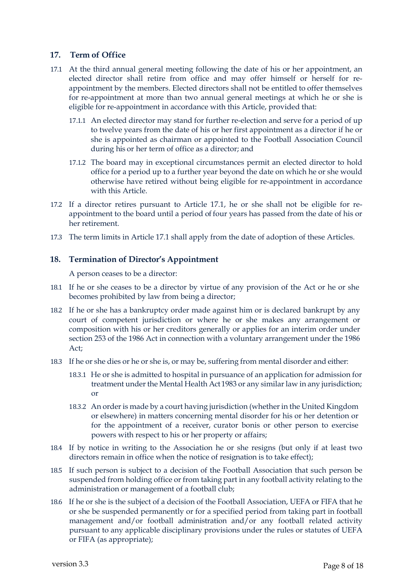# **17. Term of Office**

- 17.1 At the third annual general meeting following the date of his or her appointment, an elected director shall retire from office and may offer himself or herself for reappointment by the members. Elected directors shall not be entitled to offer themselves for re-appointment at more than two annual general meetings at which he or she is eligible for re-appointment in accordance with this Article, provided that:
	- 17.1.1 An elected director may stand for further re-election and serve for a period of up to twelve years from the date of his or her first appointment as a director if he or she is appointed as chairman or appointed to the Football Association Council during his or her term of office as a director; and
	- 17.1.2 The board may in exceptional circumstances permit an elected director to hold office for a period up to a further year beyond the date on which he or she would otherwise have retired without being eligible for re-appointment in accordance with this Article.
- 17.2 If a director retires pursuant to Article 17.1, he or she shall not be eligible for reappointment to the board until a period of four years has passed from the date of his or her retirement.
- 17.3 The term limits in Article 17.1 shall apply from the date of adoption of these Articles.

## **18. Termination of Director's Appointment**

A person ceases to be a director:

- 18.1 If he or she ceases to be a director by virtue of any provision of the Act or he or she becomes prohibited by law from being a director;
- 18.2 If he or she has a bankruptcy order made against him or is declared bankrupt by any court of competent jurisdiction or where he or she makes any arrangement or composition with his or her creditors generally or applies for an interim order under section 253 of the 1986 Act in connection with a voluntary arrangement under the 1986 Act;
- 18.3 If he or she dies or he or she is, or may be, suffering from mental disorder and either:
	- 18.3.1 He or she is admitted to hospital in pursuance of an application for admission for treatment under the Mental Health Act 1983 or any similar law in any jurisdiction; or
	- 18.3.2 An order is made by a court having jurisdiction (whether in the United Kingdom or elsewhere) in matters concerning mental disorder for his or her detention or for the appointment of a receiver, curator bonis or other person to exercise powers with respect to his or her property or affairs;
- 18.4 If by notice in writing to the Association he or she resigns (but only if at least two directors remain in office when the notice of resignation is to take effect);
- 18.5 If such person is subject to a decision of the Football Association that such person be suspended from holding office or from taking part in any football activity relating to the administration or management of a football club;
- 18.6 If he or she is the subject of a decision of the Football Association, UEFA or FIFA that he or she be suspended permanently or for a specified period from taking part in football management and/or football administration and/or any football related activity pursuant to any applicable disciplinary provisions under the rules or statutes of UEFA or FIFA (as appropriate);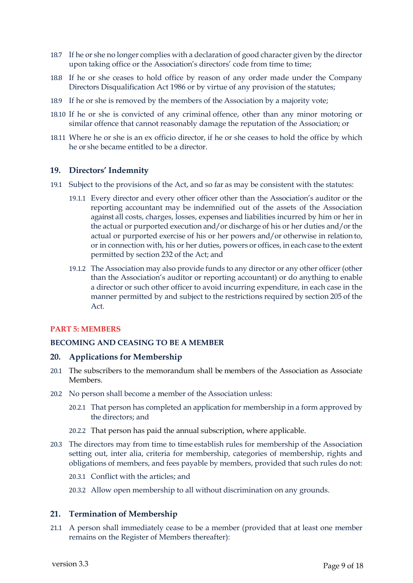- 18.7 If he or she no longer complies with a declaration of good character given by the director upon taking office or the Association's directors' code from time to time;
- 18.8 If he or she ceases to hold office by reason of any order made under the Company Directors Disqualification Act 1986 or by virtue of any provision of the statutes;
- 18.9 If he or she is removed by the members of the Association by a majority vote;
- 18.10 If he or she is convicted of any criminal offence, other than any minor motoring or similar offence that cannot reasonably damage the reputation of the Association; or
- 18.11 Where he or she is an ex officio director, if he or she ceases to hold the office by which he or she became entitled to be a director.

## **19. Directors' Indemnity**

- 19.1 Subject to the provisions of the Act, and so far as may be consistent with the statutes:
	- 19.1.1 Every director and every other officer other than the Association's auditor or the reporting accountant may be indemnified out of the assets of the Association against all costs, charges, losses, expenses and liabilities incurred by him or her in the actual or purported execution and/or discharge of his or her duties and/or the actual or purported exercise of his or her powers and/or otherwise in relation to, or in connection with, his or her duties, powers or offices, in each case to the extent permitted by section 232 of the Act; and
	- 19.1.2 The Association may also provide funds to any director or any other officer (other than the Association's auditor or reporting accountant) or do anything to enable a director or such other officer to avoid incurring expenditure, in each case in the manner permitted by and subject to the restrictions required by section 205 of the Act.

## **PART 5: MEMBERS**

## **BECOMING AND CEASING TO BE A MEMBER**

## **20. Applications for Membership**

- 20.1 The subscribers to the memorandum shall be members of the Association as Associate Members.
- 20.2 No person shall become a member of the Association unless:
	- 20.2.1 That person has completed an application for membership in a form approved by the directors; and
	- 20.2.2 That person has paid the annual subscription, where applicable.
- 20.3 The directors may from time to time establish rules for membership of the Association setting out, inter alia, criteria for membership, categories of membership, rights and obligations of members, and fees payable by members, provided that such rules do not:
	- 20.3.1 Conflict with the articles; and
	- 20.3.2 Allow open membership to all without discrimination on any grounds.

## **21. Termination of Membership**

21.1 A person shall immediately cease to be a member (provided that at least one member remains on the Register of Members thereafter):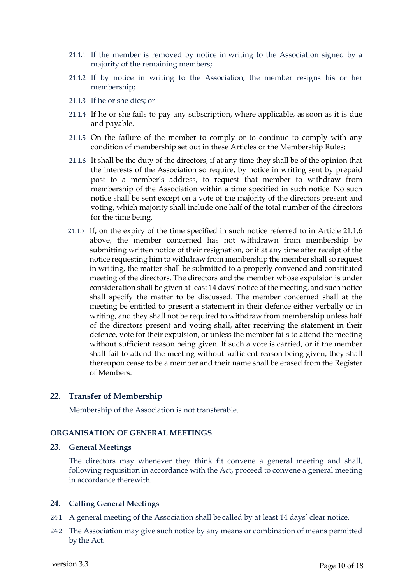- 21.1.1 If the member is removed by notice in writing to the Association signed by a majority of the remaining members;
- 21.1.2 If by notice in writing to the Association, the member resigns his or her membership;
- 21.1.3 If he or she dies; or
- 21.1.4 If he or she fails to pay any subscription, where applicable, as soon as it is due and payable.
- 21.1.5 On the failure of the member to comply or to continue to comply with any condition of membership set out in these Articles or the Membership Rules;
- 21.1.6 It shall be the duty of the directors, if at any time they shall be of the opinion that the interests of the Association so require, by notice in writing sent by prepaid post to a member's address, to request that member to withdraw from membership of the Association within a time specified in such notice. No such notice shall be sent except on a vote of the majority of the directors present and voting, which majority shall include one half of the total number of the directors for the time being.
- 21.1.7 If, on the expiry of the time specified in such notice referred to in Article 21.1.6 above, the member concerned has not withdrawn from membership by submitting written notice of their resignation, or if at any time after receipt of the notice requesting him to withdraw from membership the member shall so request in writing, the matter shall be submitted to a properly convened and constituted meeting of the directors. The directors and the member whose expulsion is under consideration shall be given at least 14 days' notice of the meeting, and such notice shall specify the matter to be discussed. The member concerned shall at the meeting be entitled to present a statement in their defence either verbally or in writing, and they shall not be required to withdraw from membership unless half of the directors present and voting shall, after receiving the statement in their defence, vote for their expulsion, or unless the member fails to attend the meeting without sufficient reason being given. If such a vote is carried, or if the member shall fail to attend the meeting without sufficient reason being given, they shall thereupon cease to be a member and their name shall be erased from the Register of Members.

#### **22. Transfer of Membership**

Membership of the Association is not transferable.

#### **ORGANISATION OF GENERAL MEETINGS**

#### **23. General Meetings**

The directors may whenever they think fit convene a general meeting and shall, following requisition in accordance with the Act, proceed to convene a general meeting in accordance therewith.

## **24. Calling General Meetings**

- 24.1 A general meeting of the Association shall be called by at least 14 days' clear notice.
- 24.2 The Association may give such notice by any means or combination of means permitted by the Act.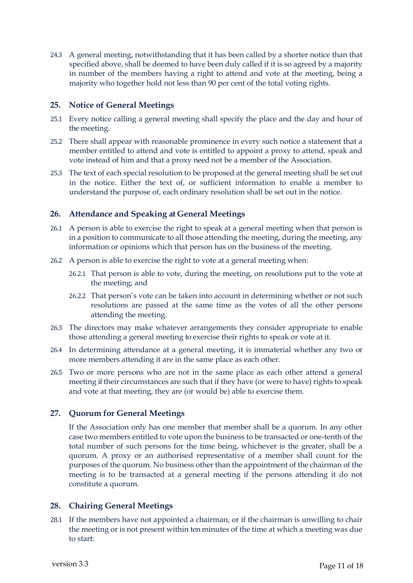24.3 A general meeting, notwithstanding that it has been called by a shorter notice than that specified above, shall be deemed to have been duly called if it is so agreed by a majority in number of the members having a right to attend and vote at the meeting, being a majority who together hold not less than 90 per cent of the total voting rights.

# **25. Notice of General Meetings**

- 25.1 Every notice calling a general meeting shall specify the place and the day and hour of the meeting.
- 25.2 There shall appear with reasonable prominence in every such notice a statement that a member entitled to attend and vote is entitled to appoint a proxy to attend, speak and vote instead of him and that a proxy need not be a member of the Association.
- 25.3 The text of each special resolution to be proposed at the general meeting shall be set out in the notice. Either the text of, or sufficient information to enable a member to understand the purpose of, each ordinary resolution shall be set out in the notice.

# **26. Attendance and Speaking at General Meetings**

- 26.1 A person is able to exercise the right to speak at a general meeting when that person is in a position to communicate to all those attending the meeting, during the meeting, any information or opinions which that person has on the business of the meeting.
- 26.2 A person is able to exercise the right to vote at a general meeting when:
	- 26.2.1 That person is able to vote, during the meeting, on resolutions put to the vote at the meeting; and
	- 26.2.2 That person's vote can be taken into account in determining whether or not such resolutions are passed at the same time as the votes of all the other persons attending the meeting.
- 26.3 The directors may make whatever arrangements they consider appropriate to enable those attending a general meeting to exercise their rights to speak or vote at it.
- 26.4 In determining attendance at a general meeting, it is immaterial whether any two or more members attending it are in the same place as each other.
- 26.5 Two or more persons who are not in the same place as each other attend a general meeting if their circumstances are such that if they have (or were to have) rights to speak and vote at that meeting, they are (or would be) able to exercise them.

# **27. Quorum for General Meetings**

If the Association only has one member that member shall be a quorum. In any other case two members entitled to vote upon the business to be transacted or one-tenth of the total number of such persons for the time being, whichever is the greater, shall be a quorum. A proxy or an authorised representative of a member shall count for the purposes of the quorum. No business other than the appointment of the chairman of the meeting is to be transacted at a general meeting if the persons attending it do not constitute a quorum.

# **28. Chairing General Meetings**

28.1 If the members have not appointed a chairman, or if the chairman is unwilling to chair the meeting or is not present within ten minutes of the time at which a meeting was due to start: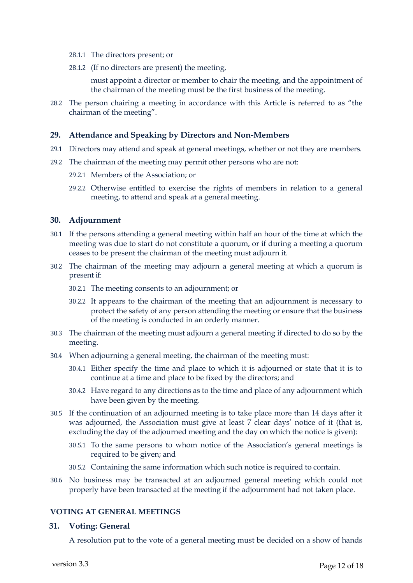- 28.1.1 The directors present; or
- 28.1.2 (If no directors are present) the meeting,

must appoint a director or member to chair the meeting, and the appointment of the chairman of the meeting must be the first business of the meeting.

28.2 The person chairing a meeting in accordance with this Article is referred to as "the chairman of the meeting".

### **29. Attendance and Speaking by Directors and Non-Members**

- 29.1 Directors may attend and speak at general meetings, whether or not they are members.
- 29.2 The chairman of the meeting may permit other persons who are not:
	- 29.2.1 Members of the Association; or
	- 29.2.2 Otherwise entitled to exercise the rights of members in relation to a general meeting, to attend and speak at a general meeting.

### **30. Adjournment**

- 30.1 If the persons attending a general meeting within half an hour of the time at which the meeting was due to start do not constitute a quorum, or if during a meeting a quorum ceases to be present the chairman of the meeting must adjourn it.
- 30.2 The chairman of the meeting may adjourn a general meeting at which a quorum is present if:
	- 30.2.1 The meeting consents to an adjournment; or
	- 30.2.2 It appears to the chairman of the meeting that an adjournment is necessary to protect the safety of any person attending the meeting or ensure that the business of the meeting is conducted in an orderly manner.
- 30.3 The chairman of the meeting must adjourn a general meeting if directed to do so by the meeting.
- 30.4 When adjourning a general meeting, the chairman of the meeting must:
	- 30.4.1 Either specify the time and place to which it is adjourned or state that it is to continue at a time and place to be fixed by the directors; and
	- 30.4.2 Have regard to any directions as to the time and place of any adjournment which have been given by the meeting.
- 30.5 If the continuation of an adjourned meeting is to take place more than 14 days after it was adjourned, the Association must give at least 7 clear days' notice of it (that is, excluding the day of the adjourned meeting and the day on which the notice is given):
	- 30.5.1 To the same persons to whom notice of the Association's general meetings is required to be given; and
	- 30.5.2 Containing the same information which such notice is required to contain.
- 30.6 No business may be transacted at an adjourned general meeting which could not properly have been transacted at the meeting if the adjournment had not taken place.

# **VOTING AT GENERAL MEETINGS**

#### **31. Voting: General**

A resolution put to the vote of a general meeting must be decided on a show of hands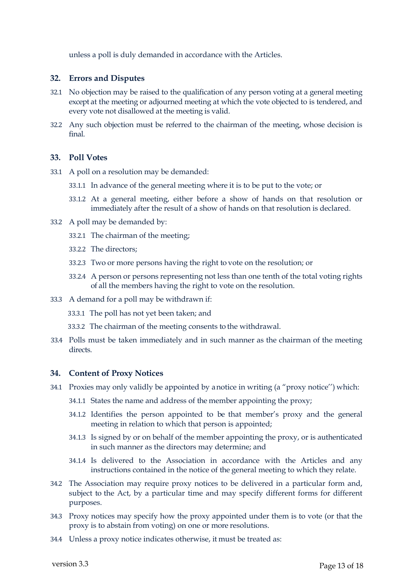unless a poll is duly demanded in accordance with the Articles.

## **32. Errors and Disputes**

- 32.1 No objection may be raised to the qualification of any person voting at a general meeting except at the meeting or adjourned meeting at which the vote objected to is tendered, and every vote not disallowed at the meeting is valid.
- 32.2 Any such objection must be referred to the chairman of the meeting, whose decision is final.

### **33. Poll Votes**

- 33.1 A poll on a resolution may be demanded:
	- 33.1.1 In advance of the general meeting where it is to be put to the vote; or
	- 33.1.2 At a general meeting, either before a show of hands on that resolution or immediately after the result of a show of hands on that resolution is declared.
- 33.2 A poll may be demanded by:
	- 33.2.1 The chairman of the meeting;
	- 33.2.2 The directors;
	- 33.2.3 Two or more persons having the right to vote on the resolution; or
	- 33.2.4 A person or persons representing not less than one tenth of the total voting rights of all the members having the right to vote on the resolution.
- 33.3 A demand for a poll may be withdrawn if:
	- 33.3.1 The poll has not yet been taken; and
	- 33.3.2 The chairman of the meeting consents to the withdrawal.
- 33.4 Polls must be taken immediately and in such manner as the chairman of the meeting directs.

## **34. Content of Proxy Notices**

- 34.1 Proxies may only validly be appointed by a notice in writing (a "proxy notice'') which:
	- 34.1.1 States the name and address of the member appointing the proxy;
	- 34.1.2 Identifies the person appointed to be that member's proxy and the general meeting in relation to which that person is appointed;
	- 34.1.3 Is signed by or on behalf of the member appointing the proxy, or is authenticated in such manner as the directors may determine; and
	- 34.1.4 Is delivered to the Association in accordance with the Articles and any instructions contained in the notice of the general meeting to which they relate.
- 34.2 The Association may require proxy notices to be delivered in a particular form and, subject to the Act, by a particular time and may specify different forms for different purposes.
- 34.3 Proxy notices may specify how the proxy appointed under them is to vote (or that the proxy is to abstain from voting) on one or more resolutions.
- 34.4 Unless a proxy notice indicates otherwise, it must be treated as: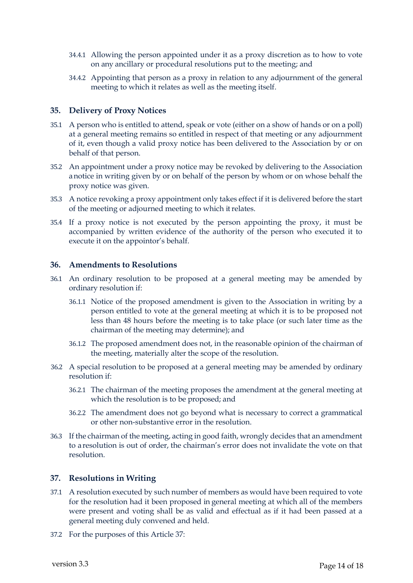- 34.4.1 Allowing the person appointed under it as a proxy discretion as to how to vote on any ancillary or procedural resolutions put to the meeting; and
- 34.4.2 Appointing that person as a proxy in relation to any adjournment of the general meeting to which it relates as well as the meeting itself.

### **35. Delivery of Proxy Notices**

- 35.1 A person who is entitled to attend, speak or vote (either on a show of hands or on a poll) at a general meeting remains so entitled in respect of that meeting or any adjournment of it, even though a valid proxy notice has been delivered to the Association by or on behalf of that person.
- 35.2 An appointment under a proxy notice may be revoked by delivering to the Association a notice in writing given by or on behalf of the person by whom or on whose behalf the proxy notice was given.
- 35.3 A notice revoking a proxy appointment only takes effect if it is delivered before the start of the meeting or adjourned meeting to which it relates.
- 35.4 If a proxy notice is not executed by the person appointing the proxy, it must be accompanied by written evidence of the authority of the person who executed it to execute it on the appointor's behalf.

#### **36. Amendments to Resolutions**

- 36.1 An ordinary resolution to be proposed at a general meeting may be amended by ordinary resolution if:
	- 36.1.1 Notice of the proposed amendment is given to the Association in writing by a person entitled to vote at the general meeting at which it is to be proposed not less than 48 hours before the meeting is to take place (or such later time as the chairman of the meeting may determine); and
	- 36.1.2 The proposed amendment does not, in the reasonable opinion of the chairman of the meeting, materially alter the scope of the resolution.
- 36.2 A special resolution to be proposed at a general meeting may be amended by ordinary resolution if:
	- 36.2.1 The chairman of the meeting proposes the amendment at the general meeting at which the resolution is to be proposed; and
	- 36.2.2 The amendment does not go beyond what is necessary to correct a grammatical or other non-substantive error in the resolution.
- 36.3 If the chairman of the meeting, acting in good faith, wrongly decides that an amendment to a resolution is out of order, the chairman's error does not invalidate the vote on that resolution.

### **37. Resolutions in Writing**

- 37.1 A resolution executed by such number of members as would have been required to vote for the resolution had it been proposed in general meeting at which all of the members were present and voting shall be as valid and effectual as if it had been passed at a general meeting duly convened and held.
- 37.2 For the purposes of this Article 37: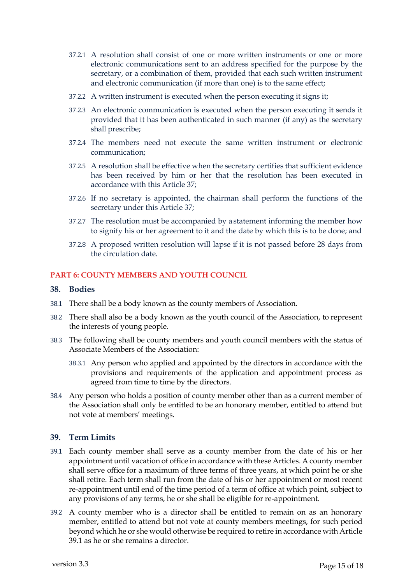- 37.2.1 A resolution shall consist of one or more written instruments or one or more electronic communications sent to an address specified for the purpose by the secretary, or a combination of them, provided that each such written instrument and electronic communication (if more than one) is to the same effect;
- 37.2.2 A written instrument is executed when the person executing it signs it;
- 37.2.3 An electronic communication is executed when the person executing it sends it provided that it has been authenticated in such manner (if any) as the secretary shall prescribe;
- 37.2.4 The members need not execute the same written instrument or electronic communication;
- 37.2.5 A resolution shall be effective when the secretary certifies that sufficient evidence has been received by him or her that the resolution has been executed in accordance with this Article 37;
- 37.2.6 If no secretary is appointed, the chairman shall perform the functions of the secretary under this Article 37;
- 37.2.7 The resolution must be accompanied by a statement informing the member how to signify his or her agreement to it and the date by which this is to be done; and
- 37.2.8 A proposed written resolution will lapse if it is not passed before 28 days from the circulation date.

# **PART 6: COUNTY MEMBERS AND YOUTH COUNCIL**

#### **38. Bodies**

- 38.1 There shall be a body known as the county members of Association.
- 38.2 There shall also be a body known as the youth council of the Association, to represent the interests of young people.
- 38.3 The following shall be county members and youth council members with the status of Associate Members of the Association:
	- 38.3.1 Any person who applied and appointed by the directors in accordance with the provisions and requirements of the application and appointment process as agreed from time to time by the directors.
- 38.4 Any person who holds a position of county member other than as a current member of the Association shall only be entitled to be an honorary member, entitled to attend but not vote at members' meetings.

## **39. Term Limits**

- 39.1 Each county member shall serve as a county member from the date of his or her appointment until vacation of office in accordance with these Articles. A county member shall serve office for a maximum of three terms of three years, at which point he or she shall retire. Each term shall run from the date of his or her appointment or most recent re-appointment until end of the time period of a term of office at which point, subject to any provisions of any terms, he or she shall be eligible for re-appointment.
- 39.2 A county member who is a director shall be entitled to remain on as an honorary member, entitled to attend but not vote at county members meetings, for such period beyond which he or she would otherwise be required to retire in accordance with Article 39.1 as he or she remains a director.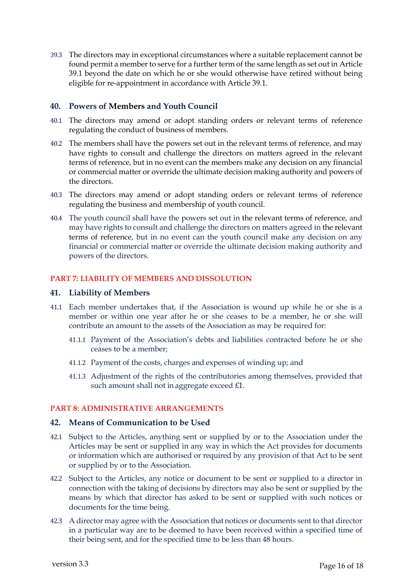39.3 The directors may in exceptional circumstances where a suitable replacement cannot be found permit a member to serve for a further term of the same length as set out in Article 39.1 beyond the date on which he or she would otherwise have retired without being eligible for re-appointment in accordance with Article 39.1.

# **40. Powers of Members and Youth Council**

- 40.1 The directors may amend or adopt standing orders or relevant terms of reference regulating the conduct of business of members.
- 40.2 The members shall have the powers set out in the relevant terms of reference, and may have rights to consult and challenge the directors on matters agreed in the relevant terms of reference, but in no event can the members make any decision on any financial or commercial matter or override the ultimate decision making authority and powers of the directors.
- 40.3 The directors may amend or adopt standing orders or relevant terms of reference regulating the business and membership of youth council.
- 40.4 The youth council shall have the powers set out in the relevant terms of reference, and may have rights to consult and challenge the directors on matters agreed in the relevant terms of reference, but in no event can the youth council make any decision on any financial or commercial matter or override the ultimate decision making authority and powers of the directors.

## **PART 7: LIABILITY OF MEMBERS AND DISSOLUTION**

## **41. Liability of Members**

- 41.1 Each member undertakes that, if the Association is wound up while he or she is a member or within one year after he or she ceases to be a member, he or she will contribute an amount to the assets of the Association as may be required for:
	- 41.1.1 Payment of the Association's debts and liabilities contracted before he or she ceases to be a member;
	- 41.1.2 Payment of the costs, charges and expenses of winding up; and
	- 41.1.3 Adjustment of the rights of the contributories among themselves, provided that such amount shall not in aggregate exceed £1.

## **PART 8: ADMINISTRATIVE ARRANGEMENTS**

## **42. Means of Communication to be Used**

- 42.1 Subject to the Articles, anything sent or supplied by or to the Association under the Articles may be sent or supplied in any way in which the Act provides for documents or information which are authorised or required by any provision of that Act to be sent or supplied by or to the Association.
- 42.2 Subject to the Articles, any notice or document to be sent or supplied to a director in connection with the taking of decisions by directors may also be sent or supplied by the means by which that director has asked to be sent or supplied with such notices or documents for the time being.
- 42.3 A director may agree with the Association that notices or documents sent to that director in a particular way are to be deemed to have been received within a specified time of their being sent, and for the specified time to be less than 48 hours.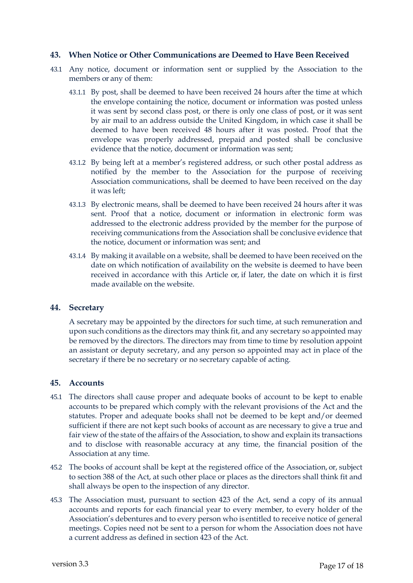## **43. When Notice or Other Communications are Deemed to Have Been Received**

- 43.1 Any notice, document or information sent or supplied by the Association to the members or any of them:
	- 43.1.1 By post, shall be deemed to have been received 24 hours after the time at which the envelope containing the notice, document or information was posted unless it was sent by second class post, or there is only one class of post, or it was sent by air mail to an address outside the United Kingdom, in which case it shall be deemed to have been received 48 hours after it was posted. Proof that the envelope was properly addressed, prepaid and posted shall be conclusive evidence that the notice, document or information was sent;
	- 43.1.2 By being left at a member's registered address, or such other postal address as notified by the member to the Association for the purpose of receiving Association communications, shall be deemed to have been received on the day it was left;
	- 43.1.3 By electronic means, shall be deemed to have been received 24 hours after it was sent. Proof that a notice, document or information in electronic form was addressed to the electronic address provided by the member for the purpose of receiving communications from the Association shall be conclusive evidence that the notice, document or information was sent; and
	- 43.1.4 By making it available on a website, shall be deemed to have been received on the date on which notification of availability on the website is deemed to have been received in accordance with this Article or, if later, the date on which it is first made available on the website.

## **44. Secretary**

A secretary may be appointed by the directors for such time, at such remuneration and upon such conditions as the directors may think fit, and any secretary so appointed may be removed by the directors. The directors may from time to time by resolution appoint an assistant or deputy secretary, and any person so appointed may act in place of the secretary if there be no secretary or no secretary capable of acting.

## **45. Accounts**

- 45.1 The directors shall cause proper and adequate books of account to be kept to enable accounts to be prepared which comply with the relevant provisions of the Act and the statutes. Proper and adequate books shall not be deemed to be kept and/or deemed sufficient if there are not kept such books of account as are necessary to give a true and fair view of the state of the affairs of the Association, to show and explain its transactions and to disclose with reasonable accuracy at any time, the financial position of the Association at any time.
- 45.2 The books of account shall be kept at the registered office of the Association, or, subject to section 388 of the Act, at such other place or places as the directors shall think fit and shall always be open to the inspection of any director.
- 45.3 The Association must, pursuant to section 423 of the Act, send a copy of its annual accounts and reports for each financial year to every member, to every holder of the Association's debentures and to every person who isentitled to receive notice of general meetings. Copies need not be sent to a person for whom the Association does not have a current address as defined in section 423 of the Act.